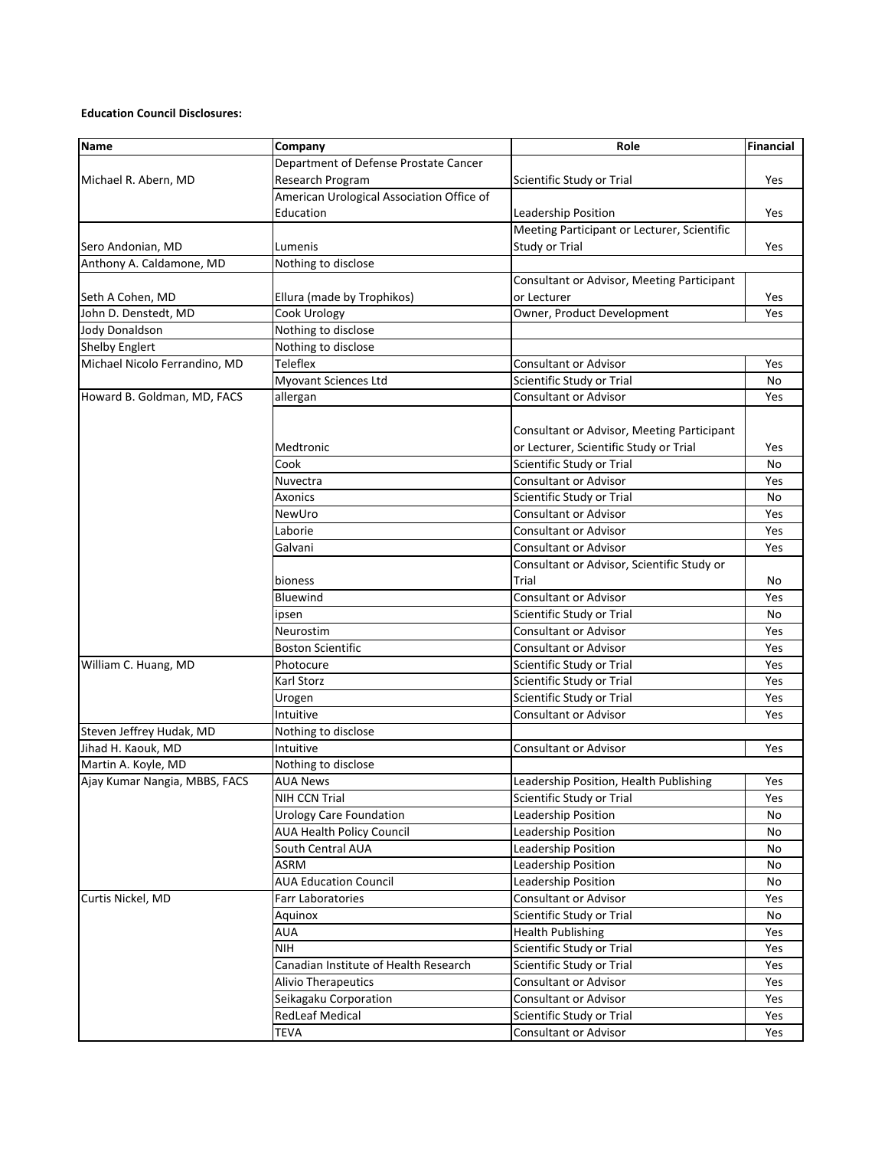## **Education Council Disclosures:**

| Name                          | Company                                   | Role                                        | <b>Financial</b> |
|-------------------------------|-------------------------------------------|---------------------------------------------|------------------|
|                               | Department of Defense Prostate Cancer     |                                             |                  |
| Michael R. Abern, MD          | Research Program                          | Scientific Study or Trial                   | Yes              |
|                               | American Urological Association Office of |                                             |                  |
|                               | Education                                 | Leadership Position                         | Yes              |
|                               |                                           | Meeting Participant or Lecturer, Scientific |                  |
| Sero Andonian, MD             | Lumenis                                   | Study or Trial                              | Yes              |
| Anthony A. Caldamone, MD      | Nothing to disclose                       |                                             |                  |
|                               |                                           | Consultant or Advisor, Meeting Participant  |                  |
| Seth A Cohen, MD              | Ellura (made by Trophikos)                | or Lecturer                                 | Yes              |
| John D. Denstedt, MD          | Cook Urology                              | Owner, Product Development                  | Yes              |
| <b>Jody Donaldson</b>         | Nothing to disclose                       |                                             |                  |
| <b>Shelby Englert</b>         | Nothing to disclose                       |                                             |                  |
| Michael Nicolo Ferrandino, MD | <b>Teleflex</b>                           | Consultant or Advisor                       | Yes              |
|                               | Myovant Sciences Ltd                      | Scientific Study or Trial                   | No               |
| Howard B. Goldman, MD, FACS   | allergan                                  | Consultant or Advisor                       | Yes              |
|                               |                                           |                                             |                  |
|                               |                                           | Consultant or Advisor, Meeting Participant  |                  |
|                               | Medtronic                                 | or Lecturer, Scientific Study or Trial      | Yes              |
|                               | Cook                                      | Scientific Study or Trial                   | No               |
|                               | Nuvectra                                  | <b>Consultant or Advisor</b>                | Yes              |
|                               | Axonics                                   | Scientific Study or Trial                   | No               |
|                               | NewUro                                    | Consultant or Advisor                       | Yes              |
|                               | Laborie                                   | Consultant or Advisor                       | Yes              |
|                               | Galvani                                   | Consultant or Advisor                       | Yes              |
|                               |                                           | Consultant or Advisor, Scientific Study or  |                  |
|                               | bioness                                   | Trial                                       | No               |
|                               | Bluewind                                  | <b>Consultant or Advisor</b>                | Yes              |
|                               | ipsen                                     | Scientific Study or Trial                   | No               |
|                               | Neurostim                                 | Consultant or Advisor                       | Yes              |
|                               | <b>Boston Scientific</b>                  | Consultant or Advisor                       | Yes              |
| William C. Huang, MD          | Photocure                                 | Scientific Study or Trial                   | Yes              |
|                               | Karl Storz                                | Scientific Study or Trial                   | Yes              |
|                               | Urogen                                    | Scientific Study or Trial                   | Yes              |
|                               | Intuitive                                 | Consultant or Advisor                       | Yes              |
| Steven Jeffrey Hudak, MD      | Nothing to disclose                       |                                             |                  |
| Jihad H. Kaouk, MD            | Intuitive                                 | <b>Consultant or Advisor</b>                | Yes              |
| Martin A. Koyle, MD           | Nothing to disclose                       |                                             |                  |
| Ajay Kumar Nangia, MBBS, FACS | <b>AUA News</b>                           | Leadership Position, Health Publishing      | Yes              |
|                               | NIH CCN Trial                             | Scientific Study or Trial                   | Yes              |
|                               | <b>Urology Care Foundation</b>            | Leadership Position                         | No               |
|                               | <b>AUA Health Policy Council</b>          | Leadership Position                         | No               |
|                               | South Central AUA                         | Leadership Position                         | No               |
|                               | ASRM                                      | Leadership Position                         | No               |
|                               | <b>AUA Education Council</b>              | Leadership Position                         | No               |
| Curtis Nickel, MD             | Farr Laboratories                         | Consultant or Advisor                       | Yes              |
|                               | Aquinox                                   | Scientific Study or Trial                   | No               |
|                               | AUA                                       | <b>Health Publishing</b>                    | Yes              |
|                               | <b>NIH</b>                                | Scientific Study or Trial                   | Yes              |
|                               | Canadian Institute of Health Research     | Scientific Study or Trial                   | Yes              |
|                               | <b>Alivio Therapeutics</b>                | <b>Consultant or Advisor</b>                | Yes              |
|                               | Seikagaku Corporation                     | <b>Consultant or Advisor</b>                | Yes              |
|                               | <b>RedLeaf Medical</b>                    | Scientific Study or Trial                   | Yes              |
|                               | TEVA                                      | Consultant or Advisor                       | Yes              |